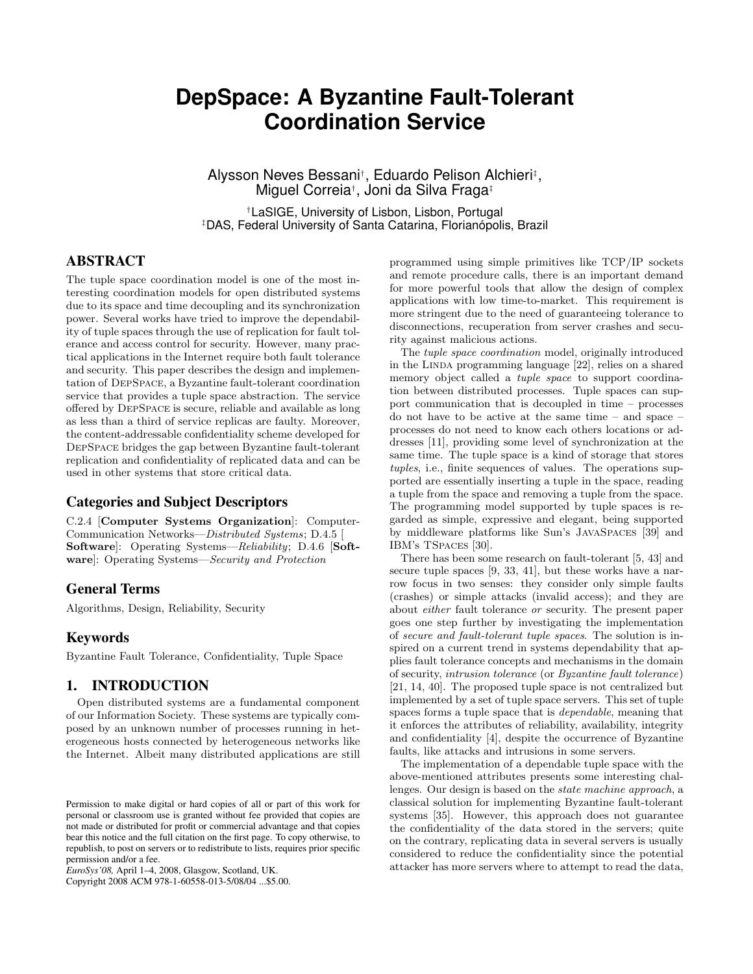# **DepSpace: A Byzantine Fault-Tolerant Coordination Service**

Alysson Neves Bessani<sup>†</sup>, Eduardo Pelison Alchieri<sup>‡</sup>, Miguel Correia† , Joni da Silva Fraga‡

†LaSIGE, University of Lisbon, Lisbon, Portugal ‡DAS, Federal University of Santa Catarina, Florianópolis, Brazil

# ABSTRACT

The tuple space coordination model is one of the most interesting coordination models for open distributed systems due to its space and time decoupling and its synchronization power. Several works have tried to improve the dependability of tuple spaces through the use of replication for fault tolerance and access control for security. However, many practical applications in the Internet require both fault tolerance and security. This paper describes the design and implementation of DepSpace, a Byzantine fault-tolerant coordination service that provides a tuple space abstraction. The service offered by DepSpace is secure, reliable and available as long as less than a third of service replicas are faulty. Moreover, the content-addressable confidentiality scheme developed for DepSpace bridges the gap between Byzantine fault-tolerant replication and confidentiality of replicated data and can be used in other systems that store critical data.

## Categories and Subject Descriptors

C.2.4 [Computer Systems Organization]: Computer-Communication Networks—Distributed Systems; D.4.5 [ Software]: Operating Systems—Reliability; D.4.6 [Software]: Operating Systems—Security and Protection

## General Terms

Algorithms, Design, Reliability, Security

## Keywords

Byzantine Fault Tolerance, Confidentiality, Tuple Space

# 1. INTRODUCTION

Open distributed systems are a fundamental component of our Information Society. These systems are typically composed by an unknown number of processes running in heterogeneous hosts connected by heterogeneous networks like the Internet. Albeit many distributed applications are still

Copyright 2008 ACM 978-1-60558-013-5/08/04 ...\$5.00.

programmed using simple primitives like TCP/IP sockets and remote procedure calls, there is an important demand for more powerful tools that allow the design of complex applications with low time-to-market. This requirement is more stringent due to the need of guaranteeing tolerance to disconnections, recuperation from server crashes and security against malicious actions.

The tuple space coordination model, originally introduced in the LINDA programming language [22], relies on a shared memory object called a tuple space to support coordination between distributed processes. Tuple spaces can support communication that is decoupled in time – processes do not have to be active at the same time – and space – processes do not need to know each others locations or addresses [11], providing some level of synchronization at the same time. The tuple space is a kind of storage that stores tuples, i.e., finite sequences of values. The operations supported are essentially inserting a tuple in the space, reading a tuple from the space and removing a tuple from the space. The programming model supported by tuple spaces is regarded as simple, expressive and elegant, being supported by middleware platforms like Sun's JavaSpaces [39] and IBM's TSpaces [30].

There has been some research on fault-tolerant [5, 43] and secure tuple spaces [9, 33, 41], but these works have a narrow focus in two senses: they consider only simple faults (crashes) or simple attacks (invalid access); and they are about either fault tolerance or security. The present paper goes one step further by investigating the implementation of secure and fault-tolerant tuple spaces. The solution is inspired on a current trend in systems dependability that applies fault tolerance concepts and mechanisms in the domain of security, intrusion tolerance (or Byzantine fault tolerance) [21, 14, 40]. The proposed tuple space is not centralized but implemented by a set of tuple space servers. This set of tuple spaces forms a tuple space that is dependable, meaning that it enforces the attributes of reliability, availability, integrity and confidentiality [4], despite the occurrence of Byzantine faults, like attacks and intrusions in some servers.

The implementation of a dependable tuple space with the above-mentioned attributes presents some interesting challenges. Our design is based on the state machine approach, a classical solution for implementing Byzantine fault-tolerant systems [35]. However, this approach does not guarantee the confidentiality of the data stored in the servers; quite on the contrary, replicating data in several servers is usually considered to reduce the confidentiality since the potential attacker has more servers where to attempt to read the data,

Permission to make digital or hard copies of all or part of this work for personal or classroom use is granted without fee provided that copies are not made or distributed for profit or commercial advantage and that copies bear this notice and the full citation on the first page. To copy otherwise, to republish, to post on servers or to redistribute to lists, requires prior specific permission and/or a fee.

*EuroSys'08,* April 1–4, 2008, Glasgow, Scotland, UK.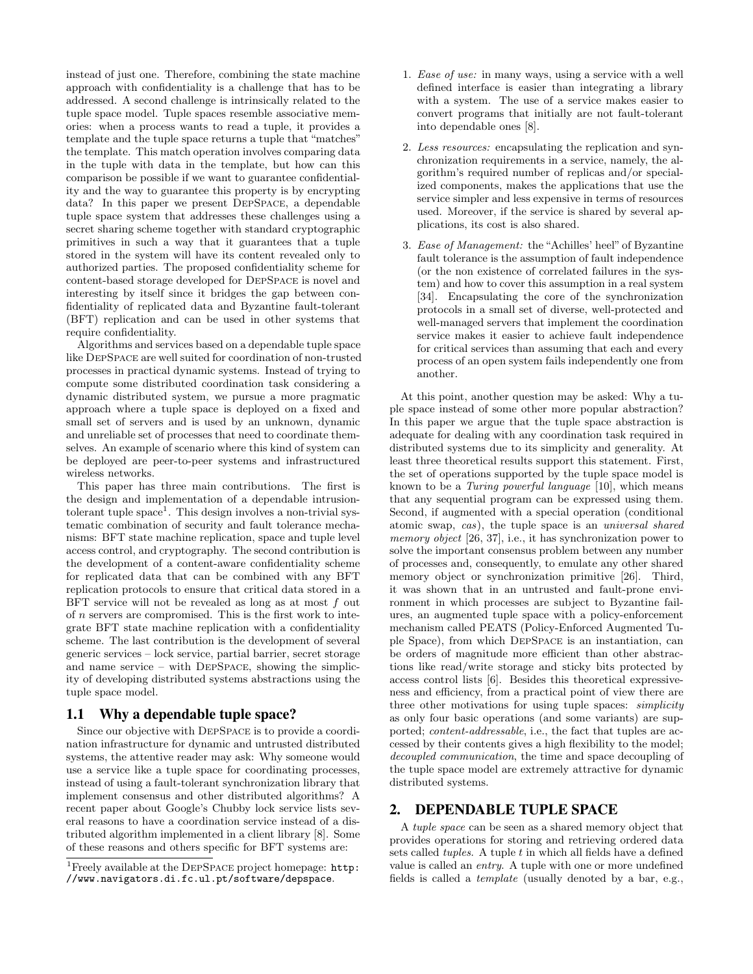instead of just one. Therefore, combining the state machine approach with confidentiality is a challenge that has to be addressed. A second challenge is intrinsically related to the tuple space model. Tuple spaces resemble associative memories: when a process wants to read a tuple, it provides a template and the tuple space returns a tuple that "matches" the template. This match operation involves comparing data in the tuple with data in the template, but how can this comparison be possible if we want to guarantee confidentiality and the way to guarantee this property is by encrypting data? In this paper we present DepSpace, a dependable tuple space system that addresses these challenges using a secret sharing scheme together with standard cryptographic primitives in such a way that it guarantees that a tuple stored in the system will have its content revealed only to authorized parties. The proposed confidentiality scheme for content-based storage developed for DepSpace is novel and interesting by itself since it bridges the gap between confidentiality of replicated data and Byzantine fault-tolerant (BFT) replication and can be used in other systems that require confidentiality.

Algorithms and services based on a dependable tuple space like DepSpace are well suited for coordination of non-trusted processes in practical dynamic systems. Instead of trying to compute some distributed coordination task considering a dynamic distributed system, we pursue a more pragmatic approach where a tuple space is deployed on a fixed and small set of servers and is used by an unknown, dynamic and unreliable set of processes that need to coordinate themselves. An example of scenario where this kind of system can be deployed are peer-to-peer systems and infrastructured wireless networks.

This paper has three main contributions. The first is the design and implementation of a dependable intrusiontolerant tuple space<sup>1</sup>. This design involves a non-trivial systematic combination of security and fault tolerance mechanisms: BFT state machine replication, space and tuple level access control, and cryptography. The second contribution is the development of a content-aware confidentiality scheme for replicated data that can be combined with any BFT replication protocols to ensure that critical data stored in a BFT service will not be revealed as long as at most  $f$  out of  $n$  servers are compromised. This is the first work to integrate BFT state machine replication with a confidentiality scheme. The last contribution is the development of several generic services – lock service, partial barrier, secret storage and name service – with DepSpace, showing the simplicity of developing distributed systems abstractions using the tuple space model.

## 1.1 Why a dependable tuple space?

Since our objective with DepSpace is to provide a coordination infrastructure for dynamic and untrusted distributed systems, the attentive reader may ask: Why someone would use a service like a tuple space for coordinating processes, instead of using a fault-tolerant synchronization library that implement consensus and other distributed algorithms? A recent paper about Google's Chubby lock service lists several reasons to have a coordination service instead of a distributed algorithm implemented in a client library [8]. Some of these reasons and others specific for BFT systems are:

- 1. Ease of use: in many ways, using a service with a well defined interface is easier than integrating a library with a system. The use of a service makes easier to convert programs that initially are not fault-tolerant into dependable ones [8].
- 2. Less resources: encapsulating the replication and synchronization requirements in a service, namely, the algorithm's required number of replicas and/or specialized components, makes the applications that use the service simpler and less expensive in terms of resources used. Moreover, if the service is shared by several applications, its cost is also shared.
- 3. Ease of Management: the "Achilles' heel" of Byzantine fault tolerance is the assumption of fault independence (or the non existence of correlated failures in the system) and how to cover this assumption in a real system [34]. Encapsulating the core of the synchronization protocols in a small set of diverse, well-protected and well-managed servers that implement the coordination service makes it easier to achieve fault independence for critical services than assuming that each and every process of an open system fails independently one from another.

At this point, another question may be asked: Why a tuple space instead of some other more popular abstraction? In this paper we argue that the tuple space abstraction is adequate for dealing with any coordination task required in distributed systems due to its simplicity and generality. At least three theoretical results support this statement. First, the set of operations supported by the tuple space model is known to be a Turing powerful language [10], which means that any sequential program can be expressed using them. Second, if augmented with a special operation (conditional atomic swap, cas), the tuple space is an universal shared memory object [26, 37], i.e., it has synchronization power to solve the important consensus problem between any number of processes and, consequently, to emulate any other shared memory object or synchronization primitive [26]. Third, it was shown that in an untrusted and fault-prone environment in which processes are subject to Byzantine failures, an augmented tuple space with a policy-enforcement mechanism called PEATS (Policy-Enforced Augmented Tuple Space), from which DepSpace is an instantiation, can be orders of magnitude more efficient than other abstractions like read/write storage and sticky bits protected by access control lists [6]. Besides this theoretical expressiveness and efficiency, from a practical point of view there are three other motivations for using tuple spaces: simplicity as only four basic operations (and some variants) are supported; content-addressable, i.e., the fact that tuples are accessed by their contents gives a high flexibility to the model; decoupled communication, the time and space decoupling of the tuple space model are extremely attractive for dynamic distributed systems.

## 2. DEPENDABLE TUPLE SPACE

A *tuple space* can be seen as a shared memory object that provides operations for storing and retrieving ordered data sets called *tuples*. A tuple  $t$  in which all fields have a defined value is called an entry. A tuple with one or more undefined fields is called a template (usually denoted by a bar, e.g.,

<sup>&</sup>lt;sup>1</sup>Freely available at the DEPSPACE project homepage: http: //www.navigators.di.fc.ul.pt/software/depspace.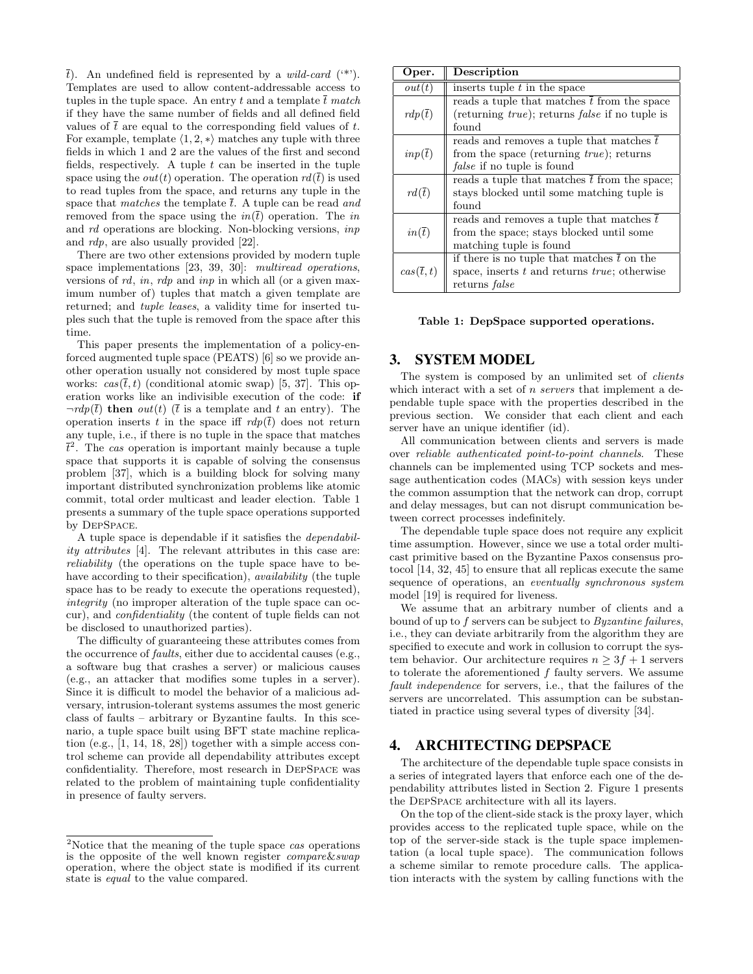$\overline{t}$ ). An undefined field is represented by a *wild-card* (\*\*). Templates are used to allow content-addressable access to tuples in the tuple space. An entry t and a template  $\bar{t}$  match if they have the same number of fields and all defined field values of  $\bar{t}$  are equal to the corresponding field values of t. For example, template  $\langle 1, 2, \ast \rangle$  matches any tuple with three fields in which 1 and 2 are the values of the first and second fields, respectively. A tuple  $t$  can be inserted in the tuple space using the *out*(*t*) operation. The operation  $rd(\bar{t})$  is used to read tuples from the space, and returns any tuple in the space that matches the template  $\overline{t}$ . A tuple can be read and removed from the space using the  $in(\bar{t})$  operation. The in and rd operations are blocking. Non-blocking versions, inp and rdp, are also usually provided [22].

There are two other extensions provided by modern tuple space implementations [23, 39, 30]: multiread operations, versions of rd, in, rdp and inp in which all (or a given maximum number of) tuples that match a given template are returned; and tuple leases, a validity time for inserted tuples such that the tuple is removed from the space after this time.

This paper presents the implementation of a policy-enforced augmented tuple space (PEATS) [6] so we provide another operation usually not considered by most tuple space works:  $cas(\bar{t}, t)$  (conditional atomic swap) [5, 37]. This operation works like an indivisible execution of the code: if  $\neg$ rdp( $\bar{t}$ ) then *out*( $t$ ) ( $\bar{t}$  is a template and  $t$  an entry). The operation inserts t in the space iff  $rdp(\bar{t})$  does not return any tuple, i.e., if there is no tuple in the space that matches  $\bar{t}^2$ . The cas operation is important mainly because a tuple space that supports it is capable of solving the consensus problem [37], which is a building block for solving many important distributed synchronization problems like atomic commit, total order multicast and leader election. Table 1 presents a summary of the tuple space operations supported by DepSpace.

A tuple space is dependable if it satisfies the dependability attributes [4]. The relevant attributes in this case are: reliability (the operations on the tuple space have to behave according to their specification), *availability* (the tuple space has to be ready to execute the operations requested), integrity (no improper alteration of the tuple space can occur), and confidentiality (the content of tuple fields can not be disclosed to unauthorized parties).

The difficulty of guaranteeing these attributes comes from the occurrence of faults, either due to accidental causes (e.g., a software bug that crashes a server) or malicious causes (e.g., an attacker that modifies some tuples in a server). Since it is difficult to model the behavior of a malicious adversary, intrusion-tolerant systems assumes the most generic class of faults – arbitrary or Byzantine faults. In this scenario, a tuple space built using BFT state machine replication (e.g., [1, 14, 18, 28]) together with a simple access control scheme can provide all dependability attributes except confidentiality. Therefore, most research in DepSpace was related to the problem of maintaining tuple confidentiality in presence of faulty servers.

| Oper.                 | Description                                                                                                                       |
|-----------------------|-----------------------------------------------------------------------------------------------------------------------------------|
| out(t)                | inserts tuple $t$ in the space                                                                                                    |
| rdp(t)                | reads a tuple that matches $t$ from the space<br>(returning $true$ ); returns <i>false</i> if no tuple is<br>found                |
| inp(t)                | reads and removes a tuple that matches $\bar{t}$<br>from the space (returning true); returns<br><i>false</i> if no tuple is found |
| $rd(\overline{t})$    | reads a tuple that matches $\bar{t}$ from the space;<br>stays blocked until some matching tuple is<br>found                       |
| $in(\bar{t})$         | reads and removes a tuple that matches t<br>from the space; stays blocked until some<br>matching tuple is found                   |
| $cas(\overline{t},t)$ | if there is no tuple that matches $t$ on the<br>space, inserts t and returns true; otherwise<br>returns <i>false</i>              |

Table 1: DepSpace supported operations.

#### 3. SYSTEM MODEL

The system is composed by an unlimited set of *clients* which interact with a set of *n servers* that implement a dependable tuple space with the properties described in the previous section. We consider that each client and each server have an unique identifier (id).

All communication between clients and servers is made over reliable authenticated point-to-point channels. These channels can be implemented using TCP sockets and message authentication codes (MACs) with session keys under the common assumption that the network can drop, corrupt and delay messages, but can not disrupt communication between correct processes indefinitely.

The dependable tuple space does not require any explicit time assumption. However, since we use a total order multicast primitive based on the Byzantine Paxos consensus protocol [14, 32, 45] to ensure that all replicas execute the same sequence of operations, an eventually synchronous system model [19] is required for liveness.

We assume that an arbitrary number of clients and a bound of up to f servers can be subject to Byzantine failures, i.e., they can deviate arbitrarily from the algorithm they are specified to execute and work in collusion to corrupt the system behavior. Our architecture requires  $n \geq 3f + 1$  servers to tolerate the aforementioned f faulty servers. We assume fault independence for servers, i.e., that the failures of the servers are uncorrelated. This assumption can be substantiated in practice using several types of diversity [34].

## 4. ARCHITECTING DEPSPACE

The architecture of the dependable tuple space consists in a series of integrated layers that enforce each one of the dependability attributes listed in Section 2. Figure 1 presents the DepSpace architecture with all its layers.

On the top of the client-side stack is the proxy layer, which provides access to the replicated tuple space, while on the top of the server-side stack is the tuple space implementation (a local tuple space). The communication follows a scheme similar to remote procedure calls. The application interacts with the system by calling functions with the

<sup>&</sup>lt;sup>2</sup>Notice that the meaning of the tuple space *cas* operations is the opposite of the well known register compare&swap operation, where the object state is modified if its current state is equal to the value compared.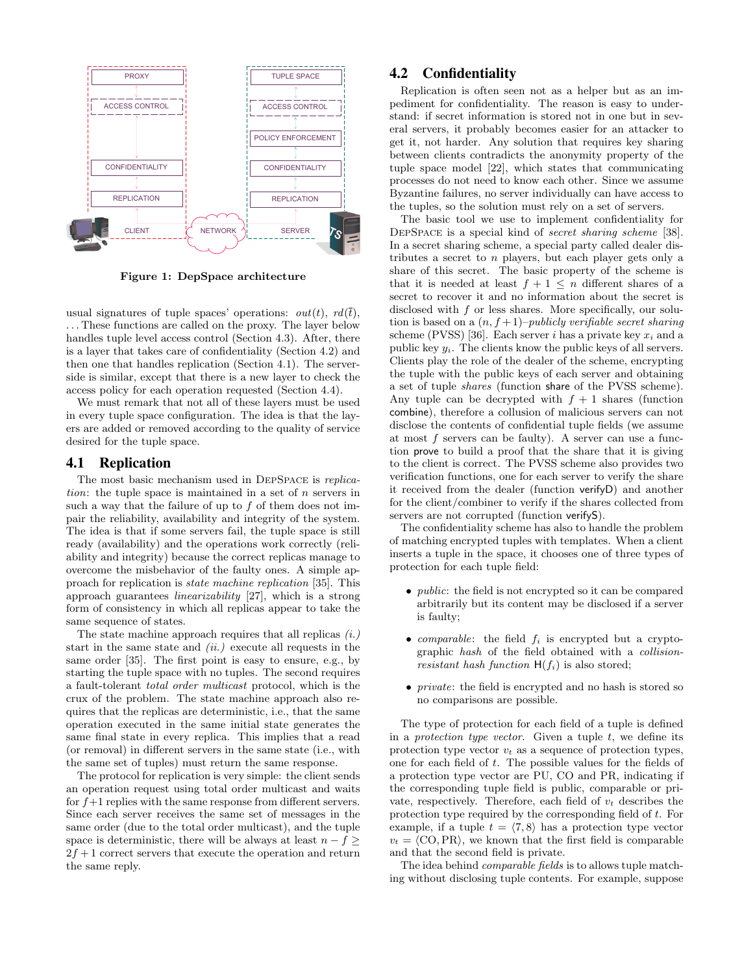

Figure 1: DepSpace architecture

usual signatures of tuple spaces' operations:  $out(t)$ ,  $rd(\bar{t})$ , . . . These functions are called on the proxy. The layer below handles tuple level access control (Section 4.3). After, there is a layer that takes care of confidentiality (Section 4.2) and then one that handles replication (Section 4.1). The serverside is similar, except that there is a new layer to check the access policy for each operation requested (Section 4.4).

We must remark that not all of these layers must be used in every tuple space configuration. The idea is that the layers are added or removed according to the quality of service desired for the tuple space.

#### 4.1 Replication

The most basic mechanism used in DepSpace is replication: the tuple space is maintained in a set of n servers in such a way that the failure of up to  $f$  of them does not impair the reliability, availability and integrity of the system. The idea is that if some servers fail, the tuple space is still ready (availability) and the operations work correctly (reliability and integrity) because the correct replicas manage to overcome the misbehavior of the faulty ones. A simple approach for replication is state machine replication [35]. This approach guarantees linearizability [27], which is a strong form of consistency in which all replicas appear to take the same sequence of states.

The state machine approach requires that all replicas  $(i.)$ start in the same state and  $(ii.)$  execute all requests in the same order [35]. The first point is easy to ensure, e.g., by starting the tuple space with no tuples. The second requires a fault-tolerant total order multicast protocol, which is the crux of the problem. The state machine approach also requires that the replicas are deterministic, i.e., that the same operation executed in the same initial state generates the same final state in every replica. This implies that a read (or removal) in different servers in the same state (i.e., with the same set of tuples) must return the same response.

The protocol for replication is very simple: the client sends an operation request using total order multicast and waits for  $f+1$  replies with the same response from different servers. Since each server receives the same set of messages in the same order (due to the total order multicast), and the tuple space is deterministic, there will be always at least  $n - f$  $2f + 1$  correct servers that execute the operation and return the same reply.

## 4.2 Confidentiality

Replication is often seen not as a helper but as an impediment for confidentiality. The reason is easy to understand: if secret information is stored not in one but in several servers, it probably becomes easier for an attacker to get it, not harder. Any solution that requires key sharing between clients contradicts the anonymity property of the tuple space model [22], which states that communicating processes do not need to know each other. Since we assume Byzantine failures, no server individually can have access to the tuples, so the solution must rely on a set of servers.

The basic tool we use to implement confidentiality for DEPSPACE is a special kind of *secret sharing scheme* [38]. In a secret sharing scheme, a special party called dealer distributes a secret to n players, but each player gets only a share of this secret. The basic property of the scheme is that it is needed at least  $f + 1 \leq n$  different shares of a secret to recover it and no information about the secret is disclosed with  $f$  or less shares. More specifically, our solution is based on a  $(n, f+1)$ –publicly verifiable secret sharing scheme (PVSS) [36]. Each server i has a private key  $x_i$  and a public key  $y_i$ . The clients know the public keys of all servers. Clients play the role of the dealer of the scheme, encrypting the tuple with the public keys of each server and obtaining a set of tuple shares (function share of the PVSS scheme). Any tuple can be decrypted with  $f + 1$  shares (function combine), therefore a collusion of malicious servers can not disclose the contents of confidential tuple fields (we assume at most f servers can be faulty). A server can use a function prove to build a proof that the share that it is giving to the client is correct. The PVSS scheme also provides two verification functions, one for each server to verify the share it received from the dealer (function verifyD) and another for the client/combiner to verify if the shares collected from servers are not corrupted (function verifyS).

The confidentiality scheme has also to handle the problem of matching encrypted tuples with templates. When a client inserts a tuple in the space, it chooses one of three types of protection for each tuple field:

- *public*: the field is not encrypted so it can be compared arbitrarily but its content may be disclosed if a server is faulty;
- *comparable*: the field  $f_i$  is encrypted but a cryptographic hash of the field obtained with a collisionresistant hash function  $H(f_i)$  is also stored;
- *private*: the field is encrypted and no hash is stored so no comparisons are possible.

The type of protection for each field of a tuple is defined in a protection type vector. Given a tuple  $t$ , we define its protection type vector  $v_t$  as a sequence of protection types, one for each field of t. The possible values for the fields of a protection type vector are PU, CO and PR, indicating if the corresponding tuple field is public, comparable or private, respectively. Therefore, each field of  $v_t$  describes the protection type required by the corresponding field of t. For example, if a tuple  $t = \langle 7, 8 \rangle$  has a protection type vector  $v_t = \langle \text{CO}, \text{PR} \rangle$ , we known that the first field is comparable and that the second field is private.

The idea behind comparable fields is to allows tuple matching without disclosing tuple contents. For example, suppose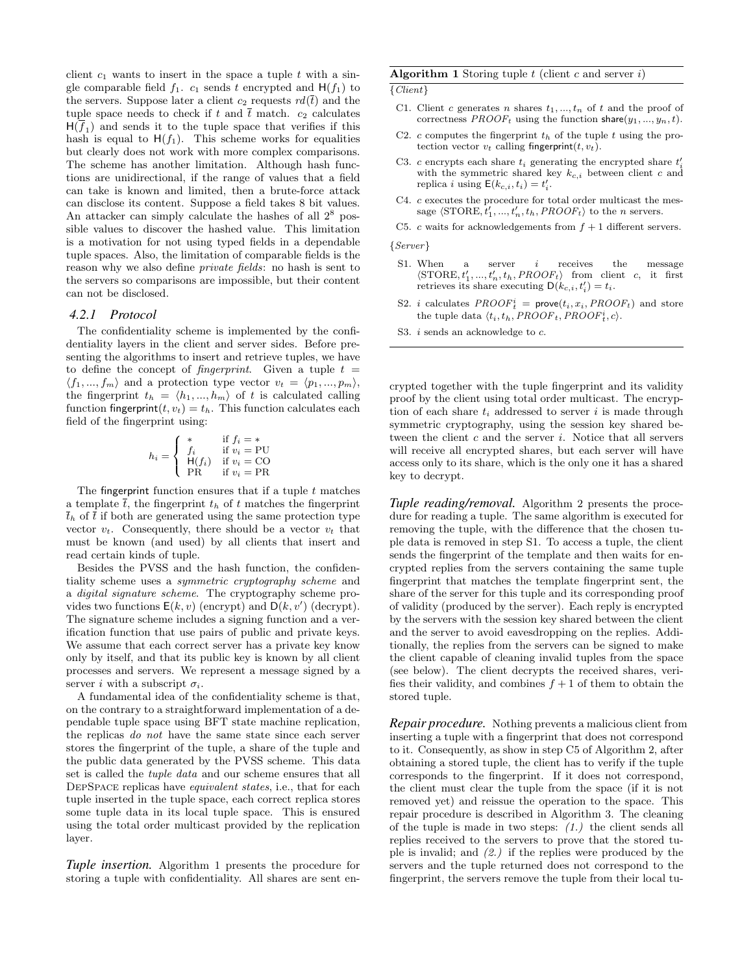client  $c_1$  wants to insert in the space a tuple t with a single comparable field  $f_1$ .  $c_1$  sends t encrypted and  $H(f_1)$  to the servers. Suppose later a client  $c_2$  requests  $rd(\bar{t})$  and the tuple space needs to check if t and  $\bar{t}$  match.  $c_2$  calculates  $H(f_1)$  and sends it to the tuple space that verifies if this hash is equal to  $H(f_1)$ . This scheme works for equalities but clearly does not work with more complex comparisons. The scheme has another limitation. Although hash functions are unidirectional, if the range of values that a field can take is known and limited, then a brute-force attack can disclose its content. Suppose a field takes 8 bit values. An attacker can simply calculate the hashes of all  $2^8$  possible values to discover the hashed value. This limitation is a motivation for not using typed fields in a dependable tuple spaces. Also, the limitation of comparable fields is the reason why we also define private fields: no hash is sent to the servers so comparisons are impossible, but their content can not be disclosed.

#### *4.2.1 Protocol*

The confidentiality scheme is implemented by the confidentiality layers in the client and server sides. Before presenting the algorithms to insert and retrieve tuples, we have to define the concept of *fingerprint*. Given a tuple  $t =$  $\langle f_1, ..., f_m \rangle$  and a protection type vector  $v_t = \langle p_1, ..., p_m \rangle$ , the fingerprint  $t_h = \langle h_1, ..., h_m \rangle$  of t is calculated calling function fingerprint( $t, v_t$ ) =  $t_h$ . This function calculates each field of the fingerprint using:

$$
h_i = \left\{ \begin{array}{ll} * & \text{if } f_i = * \\ f_i & \text{if } v_i = \text{PU} \\ \mathsf{H}(f_i) & \text{if } v_i = \text{CO} \\ \text{PR} & \text{if } v_i = \text{PR} \end{array} \right.
$$

The fingerprint function ensures that if a tuple  $t$  matches a template  $\bar{t}$ , the fingerprint  $t_h$  of t matches the fingerprint  $\bar{t}_h$  of  $\bar{t}$  if both are generated using the same protection type vector  $v_t$ . Consequently, there should be a vector  $v_t$  that must be known (and used) by all clients that insert and read certain kinds of tuple.

Besides the PVSS and the hash function, the confidentiality scheme uses a symmetric cryptography scheme and a digital signature scheme. The cryptography scheme provides two functions  $E(k, v)$  (encrypt) and  $D(k, v')$  (decrypt). The signature scheme includes a signing function and a verification function that use pairs of public and private keys. We assume that each correct server has a private key know only by itself, and that its public key is known by all client processes and servers. We represent a message signed by a server *i* with a subscript  $\sigma_i$ .

A fundamental idea of the confidentiality scheme is that, on the contrary to a straightforward implementation of a dependable tuple space using BFT state machine replication, the replicas do not have the same state since each server stores the fingerprint of the tuple, a share of the tuple and the public data generated by the PVSS scheme. This data set is called the tuple data and our scheme ensures that all DEPSPACE replicas have *equivalent states*, i.e., that for each tuple inserted in the tuple space, each correct replica stores some tuple data in its local tuple space. This is ensured using the total order multicast provided by the replication layer.

*Tuple insertion.* Algorithm 1 presents the procedure for storing a tuple with confidentiality. All shares are sent en-

#### **Algorithm 1** Storing tuple  $t$  (client  $c$  and server  $i$ )

 ${Client}$ 

- C1. Client c generates n shares  $t_1, ..., t_n$  of t and the proof of correctness  $PROOF_t$  using the function share( $y_1, ..., y_n, t$ ).
- C2. c computes the fingerprint  $t<sub>h</sub>$  of the tuple t using the protection vector  $v_t$  calling fingerprint $(t, v_t)$ .
- C3. c encrypts each share  $t_i$  generating the encrypted share  $t_i$  $\epsilon$  encrypts each share  $\epsilon_i$  generating the encrypted share  $\epsilon_i$  with the symmetric shared key  $k_{c,i}$  between client c and replica *i* using  $\mathsf{E}(k_{c,i}, t_i) = t'_i$ .
- C4. c executes the procedure for total order multicast the message  $\langle \text{STORE}, t_1', ..., t_n', t_h, \text{PROOF}_t \rangle$  to the *n* servers.

C5. c waits for acknowledgements from  $f + 1$  different servers.

{Server}

- S1. When a server  $i$  receives the message  $\langle$ STORE,  $t'_{1}, ..., t'_{n}, t_{h}, PROOF_{t} \rangle$  from client c, it first retrieves its share executing  $D(k_{c,i}, t'_i) = t_i$ .
- S2. *i* calculates  $PROOF_t^i$  = prove $(t_i, x_i, PROOF_t)$  and store the tuple data  $\langle t_i, t_h, PROOF_t, PROOF_t^i, c \rangle$ .
- S3.  $i$  sends an acknowledge to  $c$ .

crypted together with the tuple fingerprint and its validity proof by the client using total order multicast. The encryption of each share  $t_i$  addressed to server i is made through symmetric cryptography, using the session key shared between the client c and the server i. Notice that all servers will receive all encrypted shares, but each server will have access only to its share, which is the only one it has a shared key to decrypt.

*Tuple reading/removal.* Algorithm 2 presents the procedure for reading a tuple. The same algorithm is executed for removing the tuple, with the difference that the chosen tuple data is removed in step S1. To access a tuple, the client sends the fingerprint of the template and then waits for encrypted replies from the servers containing the same tuple fingerprint that matches the template fingerprint sent, the share of the server for this tuple and its corresponding proof of validity (produced by the server). Each reply is encrypted by the servers with the session key shared between the client and the server to avoid eavesdropping on the replies. Additionally, the replies from the servers can be signed to make the client capable of cleaning invalid tuples from the space (see below). The client decrypts the received shares, verifies their validity, and combines  $f + 1$  of them to obtain the stored tuple.

*Repair procedure.* Nothing prevents a malicious client from inserting a tuple with a fingerprint that does not correspond to it. Consequently, as show in step C5 of Algorithm 2, after obtaining a stored tuple, the client has to verify if the tuple corresponds to the fingerprint. If it does not correspond, the client must clear the tuple from the space (if it is not removed yet) and reissue the operation to the space. This repair procedure is described in Algorithm 3. The cleaning of the tuple is made in two steps:  $(1)$  the client sends all replies received to the servers to prove that the stored tuple is invalid; and  $(2.)$  if the replies were produced by the servers and the tuple returned does not correspond to the fingerprint, the servers remove the tuple from their local tu-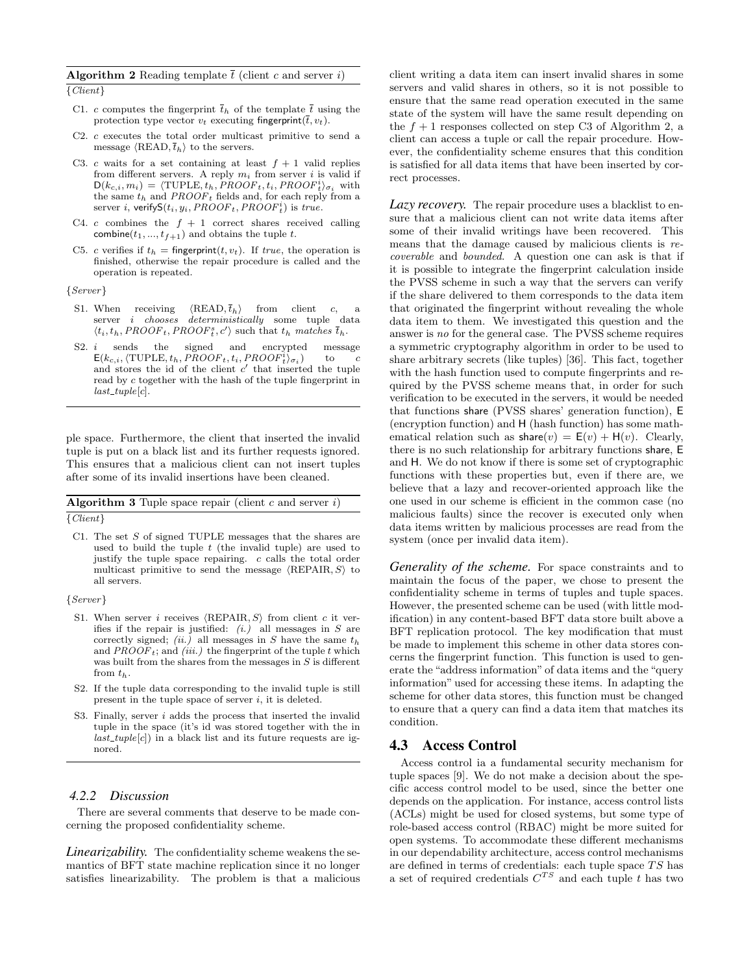#### **Algorithm 2** Reading template  $\bar{t}$  (client c and server i)

{Client}

- C1. c computes the fingerprint  $\bar{t}_h$  of the template  $\bar{t}$  using the protection type vector  $v_t$  executing fingerprint( $\overline{t}$ ,  $v_t$ ).
- C2. c executes the total order multicast primitive to send a message  $\langle \text{READ}, \overline{t}_h \rangle$  to the servers.
- C3. c waits for a set containing at least  $f + 1$  valid replies from different servers. A reply  $m_i$  from server i is valid if  $D(k_{c,i}, m_i) = \langle \text{TUPLE}, t_h, \overrightarrow{PROOF}_t, t_i, \overrightarrow{PROOF}_t^i \rangle_{\sigma_i}$  with the same  $t_h$  and  $PROOF_t$  fields and, for each reply from a server *i*, verify $S(t_i, y_i, PROOF_t, PROOF_t^i)$  is true.
- C4. c combines the  $f + 1$  correct shares received calling combine( $t_1, ..., t_{f+1}$ ) and obtains the tuple  $t$ .
- C5. c verifies if  $t_h =$  fingerprint $(t, v_t)$ . If true, the operation is finished, otherwise the repair procedure is called and the operation is repeated.

{Server}

- S1. When receiving  $\langle \text{READ}, \overline{t}_h \rangle$  from client c, a server i chooses deterministically some tuple data  $\langle t_i, t_h, PROOF_t, PROOF_t^s, c' \rangle$  such that  $t_h$  matches  $\bar{t}_h$ .
- S2.  $i$  sends the signed and encrypted message  $\mathsf{E}(k_{c,i}, \langle \text{TUPLE}, t_h, \widetilde{\text{PROOF}}_t, t_i, \text{PROOF}}_t^i \rangle_{\sigma_i}$  $\frac{1}{c}$ and stores the id of the client  $c'$  that inserted the tuple read by c together with the hash of the tuple fingerprint in  $last\_tuple[c]$ .

ple space. Furthermore, the client that inserted the invalid tuple is put on a black list and its further requests ignored. This ensures that a malicious client can not insert tuples after some of its invalid insertions have been cleaned.

|                                  | Algorithm 3 Tuple space repair (client $c$ and server $i$ ) |  |  |  |
|----------------------------------|-------------------------------------------------------------|--|--|--|
| $\epsilon$ $\sim$ $\cdot$ $\sim$ |                                                             |  |  |  |

 ${Client}$ 

C1. The set  $S$  of signed TUPLE messages that the shares are used to build the tuple  $t$  (the invalid tuple) are used to justify the tuple space repairing. c calls the total order multicast primitive to send the message  $\langle \text{REPAIR}, S \rangle$  to all servers.

{Server}

- S1. When server i receives  $\langle \text{REPAIR}, S \rangle$  from client c it verifies if the repair is justified:  $(i.)$  all messages in S are correctly signed; (ii.) all messages in S have the same  $t_h$ and  $PROOF_t$ ; and *(iii.)* the fingerprint of the tuple t which was built from the shares from the messages in  $S$  is different from  $t_h$ .
- S2. If the tuple data corresponding to the invalid tuple is still present in the tuple space of server  $i$ , it is deleted.
- S3. Finally, server  $i$  adds the process that inserted the invalid tuple in the space (it's id was stored together with the in  $last\_tuple[c]$  in a black list and its future requests are ignored.

#### *4.2.2 Discussion*

There are several comments that deserve to be made concerning the proposed confidentiality scheme.

*Linearizability.* The confidentiality scheme weakens the semantics of BFT state machine replication since it no longer satisfies linearizability. The problem is that a malicious client writing a data item can insert invalid shares in some servers and valid shares in others, so it is not possible to ensure that the same read operation executed in the same state of the system will have the same result depending on the  $f + 1$  responses collected on step C3 of Algorithm 2, a client can access a tuple or call the repair procedure. However, the confidentiality scheme ensures that this condition is satisfied for all data items that have been inserted by correct processes.

*Lazy recovery.* The repair procedure uses a blacklist to ensure that a malicious client can not write data items after some of their invalid writings have been recovered. This means that the damage caused by malicious clients is recoverable and bounded. A question one can ask is that if it is possible to integrate the fingerprint calculation inside the PVSS scheme in such a way that the servers can verify if the share delivered to them corresponds to the data item that originated the fingerprint without revealing the whole data item to them. We investigated this question and the answer is no for the general case. The PVSS scheme requires a symmetric cryptography algorithm in order to be used to share arbitrary secrets (like tuples) [36]. This fact, together with the hash function used to compute fingerprints and required by the PVSS scheme means that, in order for such verification to be executed in the servers, it would be needed that functions share (PVSS shares' generation function), E (encryption function) and H (hash function) has some mathematical relation such as  $\text{share}(v) = \mathsf{E}(v) + \mathsf{H}(v)$ . Clearly, there is no such relationship for arbitrary functions share, E and H. We do not know if there is some set of cryptographic functions with these properties but, even if there are, we believe that a lazy and recover-oriented approach like the one used in our scheme is efficient in the common case (no malicious faults) since the recover is executed only when data items written by malicious processes are read from the system (once per invalid data item).

*Generality of the scheme.* For space constraints and to maintain the focus of the paper, we chose to present the confidentiality scheme in terms of tuples and tuple spaces. However, the presented scheme can be used (with little modification) in any content-based BFT data store built above a BFT replication protocol. The key modification that must be made to implement this scheme in other data stores concerns the fingerprint function. This function is used to generate the "address information" of data items and the "query information" used for accessing these items. In adapting the scheme for other data stores, this function must be changed to ensure that a query can find a data item that matches its condition.

#### 4.3 Access Control

Access control ia a fundamental security mechanism for tuple spaces [9]. We do not make a decision about the specific access control model to be used, since the better one depends on the application. For instance, access control lists (ACLs) might be used for closed systems, but some type of role-based access control (RBAC) might be more suited for open systems. To accommodate these different mechanisms in our dependability architecture, access control mechanisms are defined in terms of credentials: each tuple space  $\mathcal{TS}$  has a set of required credentials  $C^{TS}$  and each tuple t has two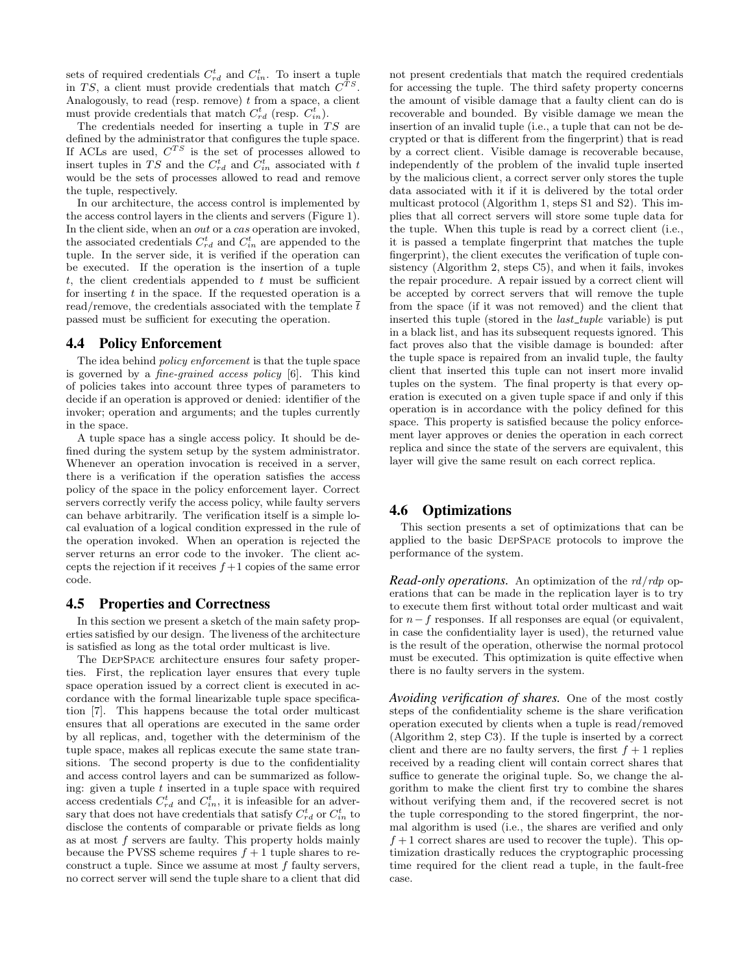sets of required credentials  $C_{rd}^t$  and  $C_{in}^t$ . To insert a tuple in TS, a client must provide credentials that match  $C^{TS}$ . Analogously, to read (resp. remove)  $t$  from a space, a client must provide credentials that match  $C_{rd}^{t}$  (resp.  $C_{in}^{t}$ ).

The credentials needed for inserting a tuple in  $TS$  are defined by the administrator that configures the tuple space. If ACLs are used,  $C^{TS}$  is the set of processes allowed to insert tuples in TS and the  $C_{rd}^t$  and  $C_{in}^t$  associated with t would be the sets of processes allowed to read and remove the tuple, respectively.

In our architecture, the access control is implemented by the access control layers in the clients and servers (Figure 1). In the client side, when an out or a cas operation are invoked, the associated credentials  $C_{rd}^t$  and  $C_{in}^t$  are appended to the tuple. In the server side, it is verified if the operation can be executed. If the operation is the insertion of a tuple  $t$ , the client credentials appended to  $t$  must be sufficient for inserting  $t$  in the space. If the requested operation is a read/remove, the credentials associated with the template  $\bar{t}$ passed must be sufficient for executing the operation.

## 4.4 Policy Enforcement

The idea behind *policy enforcement* is that the tuple space is governed by a fine-grained access policy [6]. This kind of policies takes into account three types of parameters to decide if an operation is approved or denied: identifier of the invoker; operation and arguments; and the tuples currently in the space.

A tuple space has a single access policy. It should be defined during the system setup by the system administrator. Whenever an operation invocation is received in a server, there is a verification if the operation satisfies the access policy of the space in the policy enforcement layer. Correct servers correctly verify the access policy, while faulty servers can behave arbitrarily. The verification itself is a simple local evaluation of a logical condition expressed in the rule of the operation invoked. When an operation is rejected the server returns an error code to the invoker. The client accepts the rejection if it receives  $f+1$  copies of the same error code.

## 4.5 Properties and Correctness

In this section we present a sketch of the main safety properties satisfied by our design. The liveness of the architecture is satisfied as long as the total order multicast is live.

The DepSpace architecture ensures four safety properties. First, the replication layer ensures that every tuple space operation issued by a correct client is executed in accordance with the formal linearizable tuple space specification [7]. This happens because the total order multicast ensures that all operations are executed in the same order by all replicas, and, together with the determinism of the tuple space, makes all replicas execute the same state transitions. The second property is due to the confidentiality and access control layers and can be summarized as following: given a tuple  $t$  inserted in a tuple space with required access credentials  $C_{rd}^t$  and  $C_{in}^t$ , it is infeasible for an adversary that does not have credentials that satisfy  $C_{rd}^{t}$  or  $C_{in}^{t}$  to disclose the contents of comparable or private fields as long as at most  $f$  servers are faulty. This property holds mainly because the PVSS scheme requires  $f + 1$  tuple shares to reconstruct a tuple. Since we assume at most  $f$  faulty servers, no correct server will send the tuple share to a client that did not present credentials that match the required credentials for accessing the tuple. The third safety property concerns the amount of visible damage that a faulty client can do is recoverable and bounded. By visible damage we mean the insertion of an invalid tuple (i.e., a tuple that can not be decrypted or that is different from the fingerprint) that is read by a correct client. Visible damage is recoverable because, independently of the problem of the invalid tuple inserted by the malicious client, a correct server only stores the tuple data associated with it if it is delivered by the total order multicast protocol (Algorithm 1, steps S1 and S2). This implies that all correct servers will store some tuple data for the tuple. When this tuple is read by a correct client (i.e., it is passed a template fingerprint that matches the tuple fingerprint), the client executes the verification of tuple consistency (Algorithm 2, steps C5), and when it fails, invokes the repair procedure. A repair issued by a correct client will be accepted by correct servers that will remove the tuple from the space (if it was not removed) and the client that inserted this tuple (stored in the  $last\_tuple$  variable) is put in a black list, and has its subsequent requests ignored. This fact proves also that the visible damage is bounded: after the tuple space is repaired from an invalid tuple, the faulty client that inserted this tuple can not insert more invalid tuples on the system. The final property is that every operation is executed on a given tuple space if and only if this operation is in accordance with the policy defined for this space. This property is satisfied because the policy enforcement layer approves or denies the operation in each correct replica and since the state of the servers are equivalent, this layer will give the same result on each correct replica.

## 4.6 Optimizations

This section presents a set of optimizations that can be applied to the basic DepSpace protocols to improve the performance of the system.

*Read-only operations.* An optimization of the rd/rdp operations that can be made in the replication layer is to try to execute them first without total order multicast and wait for  $n-f$  responses. If all responses are equal (or equivalent, in case the confidentiality layer is used), the returned value is the result of the operation, otherwise the normal protocol must be executed. This optimization is quite effective when there is no faulty servers in the system.

*Avoiding verification of shares.* One of the most costly steps of the confidentiality scheme is the share verification operation executed by clients when a tuple is read/removed (Algorithm 2, step C3). If the tuple is inserted by a correct client and there are no faulty servers, the first  $f + 1$  replies received by a reading client will contain correct shares that suffice to generate the original tuple. So, we change the algorithm to make the client first try to combine the shares without verifying them and, if the recovered secret is not the tuple corresponding to the stored fingerprint, the normal algorithm is used (i.e., the shares are verified and only  $f+1$  correct shares are used to recover the tuple). This optimization drastically reduces the cryptographic processing time required for the client read a tuple, in the fault-free case.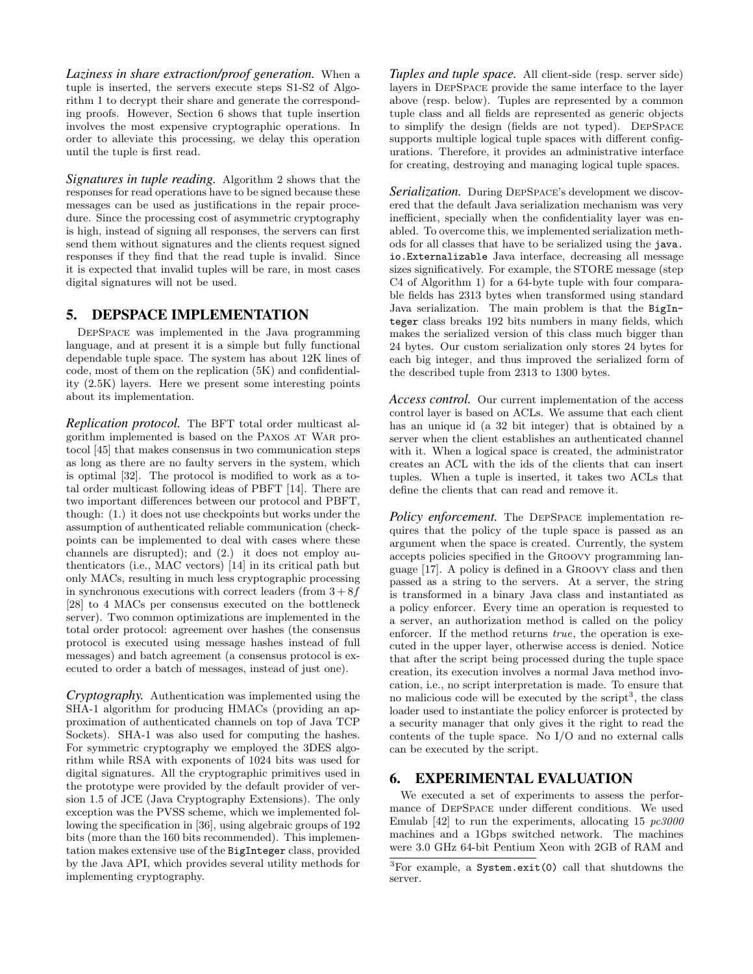*Laziness in share extraction/proof generation.* When a tuple is inserted, the servers execute steps S1-S2 of Algorithm 1 to decrypt their share and generate the corresponding proofs. However, Section 6 shows that tuple insertion involves the most expensive cryptographic operations. In order to alleviate this processing, we delay this operation until the tuple is first read.

*Signatures in tuple reading.* Algorithm 2 shows that the responses for read operations have to be signed because these messages can be used as justifications in the repair procedure. Since the processing cost of asymmetric cryptography is high, instead of signing all responses, the servers can first send them without signatures and the clients request signed responses if they find that the read tuple is invalid. Since it is expected that invalid tuples will be rare, in most cases digital signatures will not be used.

## 5. DEPSPACE IMPLEMENTATION

DepSpace was implemented in the Java programming language, and at present it is a simple but fully functional dependable tuple space. The system has about 12K lines of code, most of them on the replication (5K) and confidentiality (2.5K) layers. Here we present some interesting points about its implementation.

*Replication protocol.* The BFT total order multicast algorithm implemented is based on the Paxos at War protocol [45] that makes consensus in two communication steps as long as there are no faulty servers in the system, which is optimal [32]. The protocol is modified to work as a total order multicast following ideas of PBFT [14]. There are two important differences between our protocol and PBFT, though: (1.) it does not use checkpoints but works under the assumption of authenticated reliable communication (checkpoints can be implemented to deal with cases where these channels are disrupted); and (2.) it does not employ authenticators (i.e., MAC vectors) [14] in its critical path but only MACs, resulting in much less cryptographic processing in synchronous executions with correct leaders (from  $3 + 8f$ ) [28] to 4 MACs per consensus executed on the bottleneck server). Two common optimizations are implemented in the total order protocol: agreement over hashes (the consensus protocol is executed using message hashes instead of full messages) and batch agreement (a consensus protocol is executed to order a batch of messages, instead of just one).

*Cryptography.* Authentication was implemented using the SHA-1 algorithm for producing HMACs (providing an approximation of authenticated channels on top of Java TCP Sockets). SHA-1 was also used for computing the hashes. For symmetric cryptography we employed the 3DES algorithm while RSA with exponents of 1024 bits was used for digital signatures. All the cryptographic primitives used in the prototype were provided by the default provider of version 1.5 of JCE (Java Cryptography Extensions). The only exception was the PVSS scheme, which we implemented following the specification in [36], using algebraic groups of 192 bits (more than the 160 bits recommended). This implementation makes extensive use of the BigInteger class, provided by the Java API, which provides several utility methods for implementing cryptography.

*Tuples and tuple space.* All client-side (resp. server side) layers in DepSpace provide the same interface to the layer above (resp. below). Tuples are represented by a common tuple class and all fields are represented as generic objects to simplify the design (fields are not typed). DepSpace supports multiple logical tuple spaces with different configurations. Therefore, it provides an administrative interface for creating, destroying and managing logical tuple spaces.

*Serialization.* During DepSpace's development we discovered that the default Java serialization mechanism was very inefficient, specially when the confidentiality layer was enabled. To overcome this, we implemented serialization methods for all classes that have to be serialized using the java. io.Externalizable Java interface, decreasing all message sizes significatively. For example, the STORE message (step C4 of Algorithm 1) for a 64-byte tuple with four comparable fields has 2313 bytes when transformed using standard Java serialization. The main problem is that the BigInteger class breaks 192 bits numbers in many fields, which makes the serialized version of this class much bigger than 24 bytes. Our custom serialization only stores 24 bytes for each big integer, and thus improved the serialized form of the described tuple from 2313 to 1300 bytes.

*Access control.* Our current implementation of the access control layer is based on ACLs. We assume that each client has an unique id (a 32 bit integer) that is obtained by a server when the client establishes an authenticated channel with it. When a logical space is created, the administrator creates an ACL with the ids of the clients that can insert tuples. When a tuple is inserted, it takes two ACLs that define the clients that can read and remove it.

*Policy enforcement.* The DEPSPACE implementation requires that the policy of the tuple space is passed as an argument when the space is created. Currently, the system accepts policies specified in the Groovy programming language [17]. A policy is defined in a Groovy class and then passed as a string to the servers. At a server, the string is transformed in a binary Java class and instantiated as a policy enforcer. Every time an operation is requested to a server, an authorization method is called on the policy enforcer. If the method returns *true*, the operation is executed in the upper layer, otherwise access is denied. Notice that after the script being processed during the tuple space creation, its execution involves a normal Java method invocation, i.e., no script interpretation is made. To ensure that no malicious code will be executed by the script<sup>3</sup>, the class loader used to instantiate the policy enforcer is protected by a security manager that only gives it the right to read the contents of the tuple space. No I/O and no external calls can be executed by the script.

## 6. EXPERIMENTAL EVALUATION

We executed a set of experiments to assess the performance of DepSpace under different conditions. We used Emulab [42] to run the experiments, allocating 15  $pc3000$ machines and a 1Gbps switched network. The machines were 3.0 GHz 64-bit Pentium Xeon with 2GB of RAM and

<sup>3</sup>For example, a System.exit(0) call that shutdowns the server.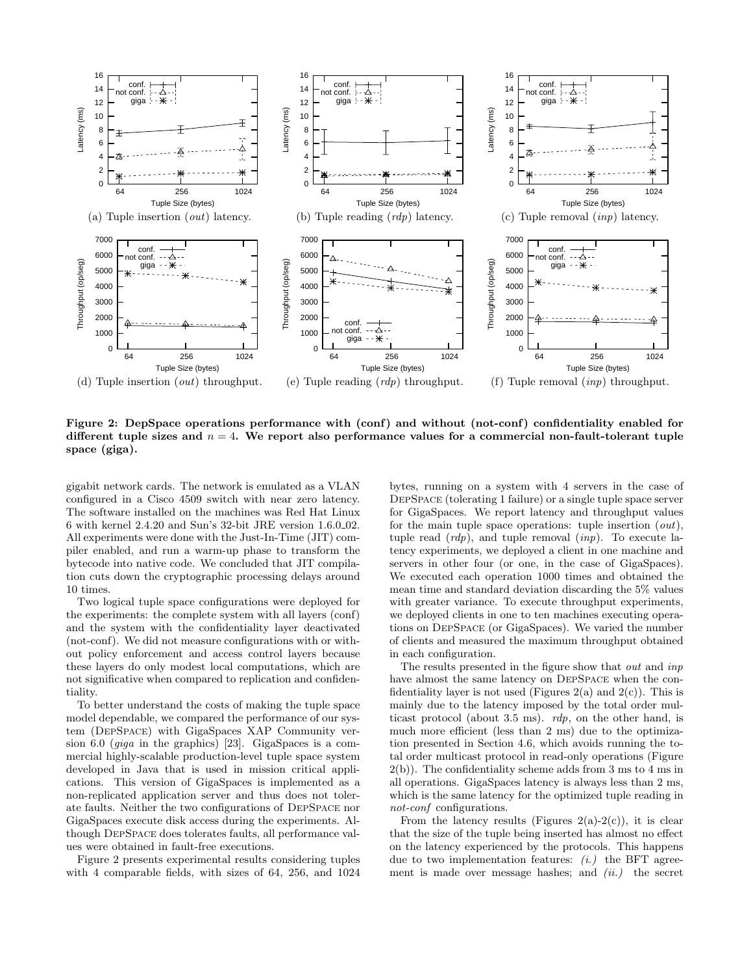

Figure 2: DepSpace operations performance with (conf) and without (not-conf) confidentiality enabled for different tuple sizes and  $n = 4$ . We report also performance values for a commercial non-fault-tolerant tuple space (giga).

gigabit network cards. The network is emulated as a VLAN configured in a Cisco 4509 switch with near zero latency. The software installed on the machines was Red Hat Linux 6 with kernel 2.4.20 and Sun's 32-bit JRE version 1.6.0 02. All experiments were done with the Just-In-Time (JIT) compiler enabled, and run a warm-up phase to transform the bytecode into native code. We concluded that JIT compilation cuts down the cryptographic processing delays around 10 times.

Two logical tuple space configurations were deployed for the experiments: the complete system with all layers (conf) and the system with the confidentiality layer deactivated (not-conf). We did not measure configurations with or without policy enforcement and access control layers because these layers do only modest local computations, which are not significative when compared to replication and confidentiality.

To better understand the costs of making the tuple space model dependable, we compared the performance of our system (DepSpace) with GigaSpaces XAP Community version 6.0 (giga in the graphics) [23]. GigaSpaces is a commercial highly-scalable production-level tuple space system developed in Java that is used in mission critical applications. This version of GigaSpaces is implemented as a non-replicated application server and thus does not tolerate faults. Neither the two configurations of DepSpace nor GigaSpaces execute disk access during the experiments. Although DepSpace does tolerates faults, all performance values were obtained in fault-free executions.

Figure 2 presents experimental results considering tuples with 4 comparable fields, with sizes of 64, 256, and 1024 bytes, running on a system with 4 servers in the case of DepSpace (tolerating 1 failure) or a single tuple space server for GigaSpaces. We report latency and throughput values for the main tuple space operations: tuple insertion  $(out)$ , tuple read  $(rdp)$ , and tuple removal  $({\rm i}np)$ . To execute latency experiments, we deployed a client in one machine and servers in other four (or one, in the case of GigaSpaces). We executed each operation 1000 times and obtained the mean time and standard deviation discarding the 5% values with greater variance. To execute throughput experiments, we deployed clients in one to ten machines executing operations on DepSpace (or GigaSpaces). We varied the number of clients and measured the maximum throughput obtained in each configuration.

The results presented in the figure show that *out* and *inp* have almost the same latency on DEPSPACE when the confidentiality layer is not used (Figures 2(a) and  $2(c)$ ). This is mainly due to the latency imposed by the total order multicast protocol (about 3.5 ms). rdp, on the other hand, is much more efficient (less than 2 ms) due to the optimization presented in Section 4.6, which avoids running the total order multicast protocol in read-only operations (Figure 2(b)). The confidentiality scheme adds from 3 ms to 4 ms in all operations. GigaSpaces latency is always less than 2 ms, which is the same latency for the optimized tuple reading in not-conf configurations.

From the latency results (Figures 2(a)-2(c)), it is clear that the size of the tuple being inserted has almost no effect on the latency experienced by the protocols. This happens due to two implementation features:  $(i.)$  the BFT agreement is made over message hashes; and  $(ii.)$  the secret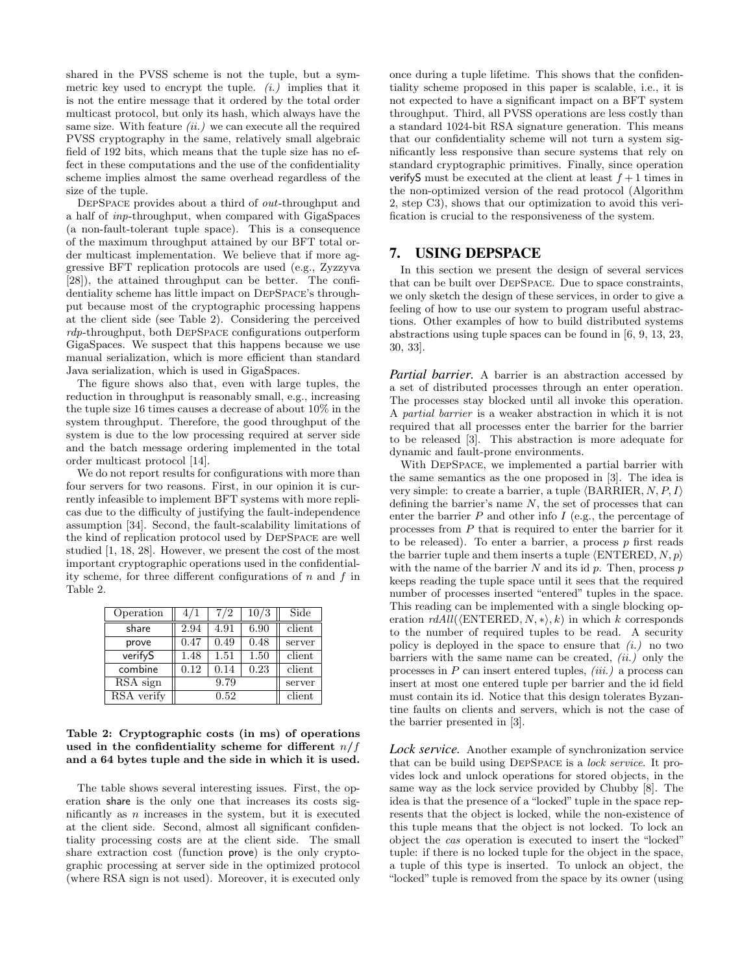shared in the PVSS scheme is not the tuple, but a symmetric key used to encrypt the tuple.  $(i.)$  implies that it is not the entire message that it ordered by the total order multicast protocol, but only its hash, which always have the same size. With feature  $(ii.)$  we can execute all the required PVSS cryptography in the same, relatively small algebraic field of 192 bits, which means that the tuple size has no effect in these computations and the use of the confidentiality scheme implies almost the same overhead regardless of the size of the tuple.

DepSpace provides about a third of out-throughput and a half of inp-throughput, when compared with GigaSpaces (a non-fault-tolerant tuple space). This is a consequence of the maximum throughput attained by our BFT total order multicast implementation. We believe that if more aggressive BFT replication protocols are used (e.g., Zyzzyva [28]), the attained throughput can be better. The confidentiality scheme has little impact on DepSpace's throughput because most of the cryptographic processing happens at the client side (see Table 2). Considering the perceived rdp-throughput, both DepSpace configurations outperform GigaSpaces. We suspect that this happens because we use manual serialization, which is more efficient than standard Java serialization, which is used in GigaSpaces.

The figure shows also that, even with large tuples, the reduction in throughput is reasonably small, e.g., increasing the tuple size 16 times causes a decrease of about 10% in the system throughput. Therefore, the good throughput of the system is due to the low processing required at server side and the batch message ordering implemented in the total order multicast protocol [14].

We do not report results for configurations with more than four servers for two reasons. First, in our opinion it is currently infeasible to implement BFT systems with more replicas due to the difficulty of justifying the fault-independence assumption [34]. Second, the fault-scalability limitations of the kind of replication protocol used by DepSpace are well studied [1, 18, 28]. However, we present the cost of the most important cryptographic operations used in the confidentiality scheme, for three different configurations of  $n$  and  $f$  in Table 2.

| Operation                    | 4/1    | 7/2    | 10/3 | Side   |
|------------------------------|--------|--------|------|--------|
| share                        | 2.94   | 4.91   | 6.90 | client |
| prove                        | 0.47   | 0.49   | 0.48 | server |
| verifyS                      | 1.48   | 1.51   | 1.50 | client |
| combine                      | 0.12   | 0.14   | 0.23 | client |
| $\overline{\text{RSA}}$ sign |        | server |      |        |
| RSA verify                   | client |        |      |        |

#### Table 2: Cryptographic costs (in ms) of operations used in the confidentiality scheme for different  $n/f$ and a 64 bytes tuple and the side in which it is used.

The table shows several interesting issues. First, the operation share is the only one that increases its costs significantly as  $n$  increases in the system, but it is executed at the client side. Second, almost all significant confidentiality processing costs are at the client side. The small share extraction cost (function prove) is the only cryptographic processing at server side in the optimized protocol (where RSA sign is not used). Moreover, it is executed only once during a tuple lifetime. This shows that the confidentiality scheme proposed in this paper is scalable, i.e., it is not expected to have a significant impact on a BFT system throughput. Third, all PVSS operations are less costly than a standard 1024-bit RSA signature generation. This means that our confidentiality scheme will not turn a system significantly less responsive than secure systems that rely on standard cryptographic primitives. Finally, since operation verifyS must be executed at the client at least  $f + 1$  times in the non-optimized version of the read protocol (Algorithm 2, step C3), shows that our optimization to avoid this verification is crucial to the responsiveness of the system.

## 7. USING DEPSPACE

In this section we present the design of several services that can be built over DepSpace. Due to space constraints, we only sketch the design of these services, in order to give a feeling of how to use our system to program useful abstractions. Other examples of how to build distributed systems abstractions using tuple spaces can be found in [6, 9, 13, 23, 30, 33].

*Partial barrier.* A barrier is an abstraction accessed by a set of distributed processes through an enter operation. The processes stay blocked until all invoke this operation. A partial barrier is a weaker abstraction in which it is not required that all processes enter the barrier for the barrier to be released [3]. This abstraction is more adequate for dynamic and fault-prone environments.

With DepSpace, we implemented a partial barrier with the same semantics as the one proposed in [3]. The idea is very simple: to create a barrier, a tuple  $\langle BARRIER, N, P, I \rangle$ defining the barrier's name N, the set of processes that can enter the barrier  $P$  and other info  $I$  (e.g., the percentage of processes from P that is required to enter the barrier for it to be released). To enter a barrier, a process  $p$  first reads the barrier tuple and them inserts a tuple  $\langle$  ENTERED,  $N, p \rangle$ with the name of the barrier  $N$  and its id  $p$ . Then, process  $p$ keeps reading the tuple space until it sees that the required number of processes inserted "entered" tuples in the space. This reading can be implemented with a single blocking operation  $rdAll(\langle \text{ENTERED}, N, *, \rangle, k)$  in which k corresponds to the number of required tuples to be read. A security policy is deployed in the space to ensure that  $(i)$  no two barriers with the same name can be created,  $(ii.)$  only the processes in  $P$  can insert entered tuples, *(iii.)* a process can insert at most one entered tuple per barrier and the id field must contain its id. Notice that this design tolerates Byzantine faults on clients and servers, which is not the case of the barrier presented in [3].

*Lock service.* Another example of synchronization service that can be build using DepSpace is a lock service. It provides lock and unlock operations for stored objects, in the same way as the lock service provided by Chubby [8]. The idea is that the presence of a "locked" tuple in the space represents that the object is locked, while the non-existence of this tuple means that the object is not locked. To lock an object the cas operation is executed to insert the "locked" tuple: if there is no locked tuple for the object in the space, a tuple of this type is inserted. To unlock an object, the "locked" tuple is removed from the space by its owner (using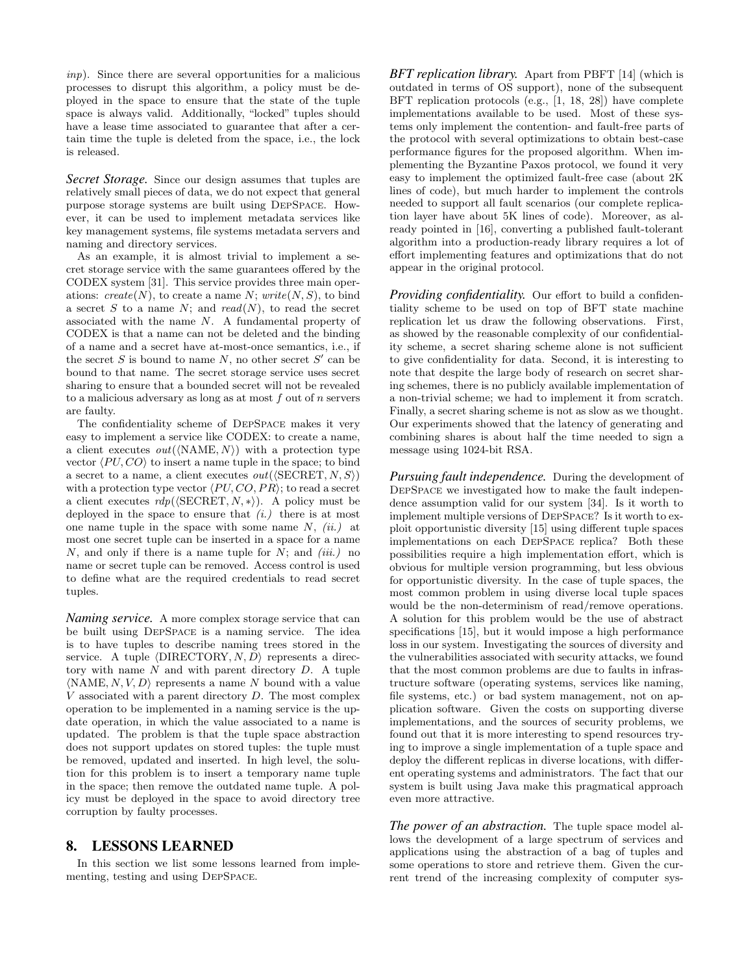inp). Since there are several opportunities for a malicious processes to disrupt this algorithm, a policy must be deployed in the space to ensure that the state of the tuple space is always valid. Additionally, "locked" tuples should have a lease time associated to guarantee that after a certain time the tuple is deleted from the space, i.e., the lock is released.

*Secret Storage.* Since our design assumes that tuples are relatively small pieces of data, we do not expect that general purpose storage systems are built using DepSpace. However, it can be used to implement metadata services like key management systems, file systems metadata servers and naming and directory services.

As an example, it is almost trivial to implement a secret storage service with the same guarantees offered by the CODEX system [31]. This service provides three main operations:  $create(N)$ , to create a name N; write(N, S), to bind a secret S to a name N; and  $read(N)$ , to read the secret associated with the name N. A fundamental property of CODEX is that a name can not be deleted and the binding of a name and a secret have at-most-once semantics, i.e., if the secret S is bound to name N, no other secret  $S'$  can be bound to that name. The secret storage service uses secret sharing to ensure that a bounded secret will not be revealed to a malicious adversary as long as at most  $f$  out of  $n$  servers are faulty.

The confidentiality scheme of DepSpace makes it very easy to implement a service like CODEX: to create a name, a client executes  $out(\langle NAME, N \rangle)$  with a protection type vector  $\langle PU, CO \rangle$  to insert a name tuple in the space; to bind a secret to a name, a client executes  $out(\langle \text{SECRET}, N, S \rangle)$ with a protection type vector  $\langle PU, CO, PR \rangle$ ; to read a secret a client executes  $rdp(\langle \text{SECRET}, N, * \rangle)$ . A policy must be deployed in the space to ensure that  $(i.)$  there is at most one name tuple in the space with some name  $N, (ii.)$  at most one secret tuple can be inserted in a space for a name N, and only if there is a name tuple for  $N$ ; and  $(iii)$  no name or secret tuple can be removed. Access control is used to define what are the required credentials to read secret tuples.

*Naming service.* A more complex storage service that can be built using DepSpace is a naming service. The idea is to have tuples to describe naming trees stored in the service. A tuple  $\langle$ DIRECTORY, N, D $\rangle$  represents a directory with name  $N$  and with parent directory  $D$ . A tuple  $\langle NAME, N, V, D \rangle$  represents a name N bound with a value  $V$  associated with a parent directory  $D$ . The most complex operation to be implemented in a naming service is the update operation, in which the value associated to a name is updated. The problem is that the tuple space abstraction does not support updates on stored tuples: the tuple must be removed, updated and inserted. In high level, the solution for this problem is to insert a temporary name tuple in the space; then remove the outdated name tuple. A policy must be deployed in the space to avoid directory tree corruption by faulty processes.

## 8. LESSONS LEARNED

In this section we list some lessons learned from implementing, testing and using DepSpace.

*BFT replication library.* Apart from PBFT [14] (which is outdated in terms of OS support), none of the subsequent BFT replication protocols (e.g., [1, 18, 28]) have complete implementations available to be used. Most of these systems only implement the contention- and fault-free parts of the protocol with several optimizations to obtain best-case performance figures for the proposed algorithm. When implementing the Byzantine Paxos protocol, we found it very easy to implement the optimized fault-free case (about 2K lines of code), but much harder to implement the controls needed to support all fault scenarios (our complete replication layer have about 5K lines of code). Moreover, as already pointed in [16], converting a published fault-tolerant algorithm into a production-ready library requires a lot of effort implementing features and optimizations that do not appear in the original protocol.

*Providing confidentiality.* Our effort to build a confidentiality scheme to be used on top of BFT state machine replication let us draw the following observations. First, as showed by the reasonable complexity of our confidentiality scheme, a secret sharing scheme alone is not sufficient to give confidentiality for data. Second, it is interesting to note that despite the large body of research on secret sharing schemes, there is no publicly available implementation of a non-trivial scheme; we had to implement it from scratch. Finally, a secret sharing scheme is not as slow as we thought. Our experiments showed that the latency of generating and combining shares is about half the time needed to sign a message using 1024-bit RSA.

*Pursuing fault independence.* During the development of DepSpace we investigated how to make the fault independence assumption valid for our system [34]. Is it worth to implement multiple versions of DepSpace? Is it worth to exploit opportunistic diversity [15] using different tuple spaces implementations on each DepSpace replica? Both these possibilities require a high implementation effort, which is obvious for multiple version programming, but less obvious for opportunistic diversity. In the case of tuple spaces, the most common problem in using diverse local tuple spaces would be the non-determinism of read/remove operations. A solution for this problem would be the use of abstract specifications [15], but it would impose a high performance loss in our system. Investigating the sources of diversity and the vulnerabilities associated with security attacks, we found that the most common problems are due to faults in infrastructure software (operating systems, services like naming, file systems, etc.) or bad system management, not on application software. Given the costs on supporting diverse implementations, and the sources of security problems, we found out that it is more interesting to spend resources trying to improve a single implementation of a tuple space and deploy the different replicas in diverse locations, with different operating systems and administrators. The fact that our system is built using Java make this pragmatical approach even more attractive.

*The power of an abstraction.* The tuple space model allows the development of a large spectrum of services and applications using the abstraction of a bag of tuples and some operations to store and retrieve them. Given the current trend of the increasing complexity of computer sys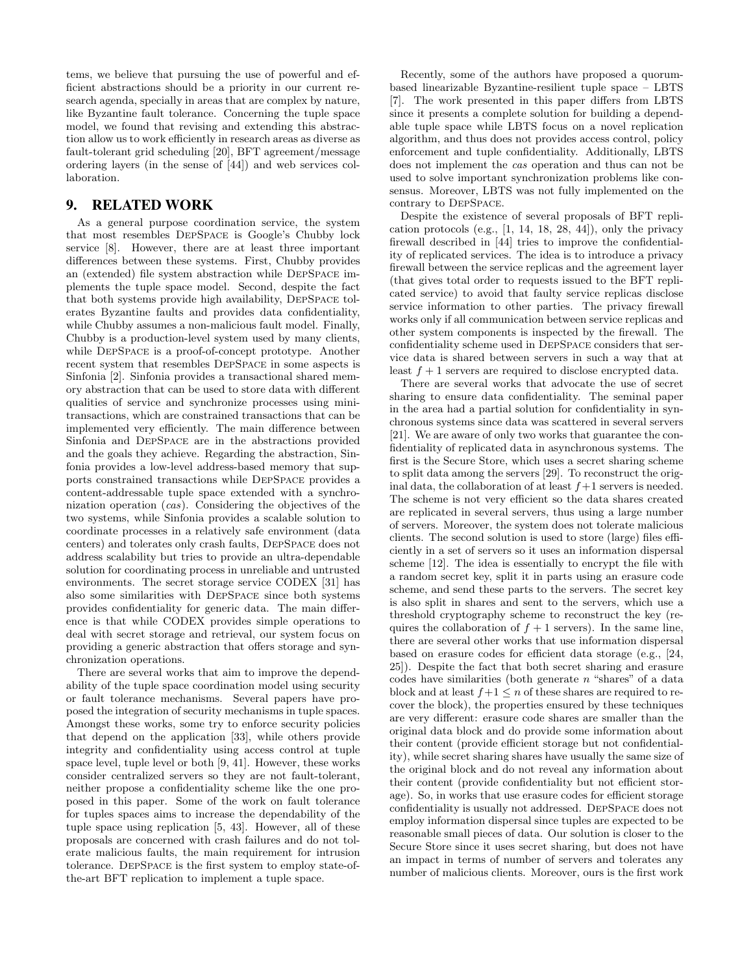tems, we believe that pursuing the use of powerful and efficient abstractions should be a priority in our current research agenda, specially in areas that are complex by nature, like Byzantine fault tolerance. Concerning the tuple space model, we found that revising and extending this abstraction allow us to work efficiently in research areas as diverse as fault-tolerant grid scheduling [20], BFT agreement/message ordering layers (in the sense of [44]) and web services collaboration.

## 9. RELATED WORK

As a general purpose coordination service, the system that most resembles DepSpace is Google's Chubby lock service [8]. However, there are at least three important differences between these systems. First, Chubby provides an (extended) file system abstraction while DepSpace implements the tuple space model. Second, despite the fact that both systems provide high availability, DepSpace tolerates Byzantine faults and provides data confidentiality, while Chubby assumes a non-malicious fault model. Finally, Chubby is a production-level system used by many clients, while DepSpace is a proof-of-concept prototype. Another recent system that resembles DepSpace in some aspects is Sinfonia [2]. Sinfonia provides a transactional shared memory abstraction that can be used to store data with different qualities of service and synchronize processes using minitransactions, which are constrained transactions that can be implemented very efficiently. The main difference between Sinfonia and DepSpace are in the abstractions provided and the goals they achieve. Regarding the abstraction, Sinfonia provides a low-level address-based memory that supports constrained transactions while DepSpace provides a content-addressable tuple space extended with a synchronization operation (cas). Considering the objectives of the two systems, while Sinfonia provides a scalable solution to coordinate processes in a relatively safe environment (data centers) and tolerates only crash faults, DepSpace does not address scalability but tries to provide an ultra-dependable solution for coordinating process in unreliable and untrusted environments. The secret storage service CODEX [31] has also some similarities with DepSpace since both systems provides confidentiality for generic data. The main difference is that while CODEX provides simple operations to deal with secret storage and retrieval, our system focus on providing a generic abstraction that offers storage and synchronization operations.

There are several works that aim to improve the dependability of the tuple space coordination model using security or fault tolerance mechanisms. Several papers have proposed the integration of security mechanisms in tuple spaces. Amongst these works, some try to enforce security policies that depend on the application [33], while others provide integrity and confidentiality using access control at tuple space level, tuple level or both [9, 41]. However, these works consider centralized servers so they are not fault-tolerant, neither propose a confidentiality scheme like the one proposed in this paper. Some of the work on fault tolerance for tuples spaces aims to increase the dependability of the tuple space using replication [5, 43]. However, all of these proposals are concerned with crash failures and do not tolerate malicious faults, the main requirement for intrusion tolerance. DepSpace is the first system to employ state-ofthe-art BFT replication to implement a tuple space.

Recently, some of the authors have proposed a quorumbased linearizable Byzantine-resilient tuple space – LBTS [7]. The work presented in this paper differs from LBTS since it presents a complete solution for building a dependable tuple space while LBTS focus on a novel replication algorithm, and thus does not provides access control, policy enforcement and tuple confidentiality. Additionally, LBTS does not implement the cas operation and thus can not be used to solve important synchronization problems like consensus. Moreover, LBTS was not fully implemented on the contrary to DepSpace.

Despite the existence of several proposals of BFT replication protocols (e.g.,  $[1, 14, 18, 28, 44]$ ), only the privacy firewall described in [44] tries to improve the confidentiality of replicated services. The idea is to introduce a privacy firewall between the service replicas and the agreement layer (that gives total order to requests issued to the BFT replicated service) to avoid that faulty service replicas disclose service information to other parties. The privacy firewall works only if all communication between service replicas and other system components is inspected by the firewall. The confidentiality scheme used in DepSpace considers that service data is shared between servers in such a way that at least  $f + 1$  servers are required to disclose encrypted data.

There are several works that advocate the use of secret sharing to ensure data confidentiality. The seminal paper in the area had a partial solution for confidentiality in synchronous systems since data was scattered in several servers [21]. We are aware of only two works that guarantee the confidentiality of replicated data in asynchronous systems. The first is the Secure Store, which uses a secret sharing scheme to split data among the servers [29]. To reconstruct the original data, the collaboration of at least  $f+1$  servers is needed. The scheme is not very efficient so the data shares created are replicated in several servers, thus using a large number of servers. Moreover, the system does not tolerate malicious clients. The second solution is used to store (large) files efficiently in a set of servers so it uses an information dispersal scheme [12]. The idea is essentially to encrypt the file with a random secret key, split it in parts using an erasure code scheme, and send these parts to the servers. The secret key is also split in shares and sent to the servers, which use a threshold cryptography scheme to reconstruct the key (requires the collaboration of  $f + 1$  servers). In the same line, there are several other works that use information dispersal based on erasure codes for efficient data storage (e.g., [24, 25]). Despite the fact that both secret sharing and erasure codes have similarities (both generate  $n$  "shares" of a data block and at least  $f+1 \leq n$  of these shares are required to recover the block), the properties ensured by these techniques are very different: erasure code shares are smaller than the original data block and do provide some information about their content (provide efficient storage but not confidentiality), while secret sharing shares have usually the same size of the original block and do not reveal any information about their content (provide confidentiality but not efficient storage). So, in works that use erasure codes for efficient storage confidentiality is usually not addressed. DepSpace does not employ information dispersal since tuples are expected to be reasonable small pieces of data. Our solution is closer to the Secure Store since it uses secret sharing, but does not have an impact in terms of number of servers and tolerates any number of malicious clients. Moreover, ours is the first work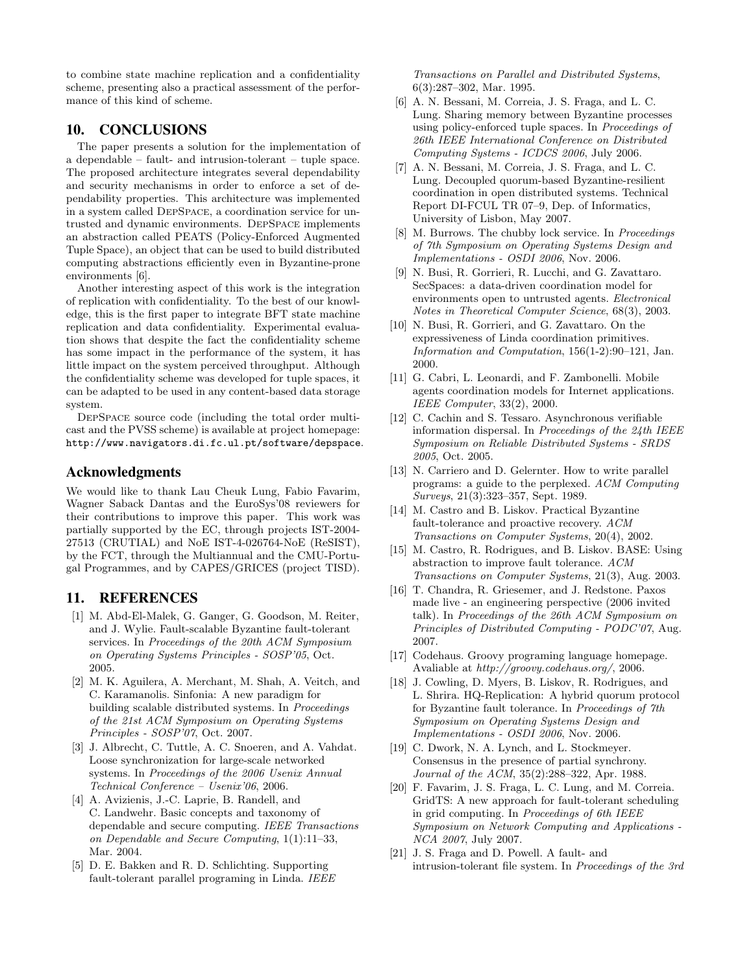to combine state machine replication and a confidentiality scheme, presenting also a practical assessment of the performance of this kind of scheme.

## 10. CONCLUSIONS

The paper presents a solution for the implementation of a dependable – fault- and intrusion-tolerant – tuple space. The proposed architecture integrates several dependability and security mechanisms in order to enforce a set of dependability properties. This architecture was implemented in a system called DepSpace, a coordination service for untrusted and dynamic environments. DepSpace implements an abstraction called PEATS (Policy-Enforced Augmented Tuple Space), an object that can be used to build distributed computing abstractions efficiently even in Byzantine-prone environments [6].

Another interesting aspect of this work is the integration of replication with confidentiality. To the best of our knowledge, this is the first paper to integrate BFT state machine replication and data confidentiality. Experimental evaluation shows that despite the fact the confidentiality scheme has some impact in the performance of the system, it has little impact on the system perceived throughput. Although the confidentiality scheme was developed for tuple spaces, it can be adapted to be used in any content-based data storage system.

DepSpace source code (including the total order multicast and the PVSS scheme) is available at project homepage: http://www.navigators.di.fc.ul.pt/software/depspace.

## Acknowledgments

We would like to thank Lau Cheuk Lung, Fabio Favarim, Wagner Saback Dantas and the EuroSys'08 reviewers for their contributions to improve this paper. This work was partially supported by the EC, through projects IST-2004- 27513 (CRUTIAL) and NoE IST-4-026764-NoE (ReSIST), by the FCT, through the Multiannual and the CMU-Portugal Programmes, and by CAPES/GRICES (project TISD).

## 11. REFERENCES

- [1] M. Abd-El-Malek, G. Ganger, G. Goodson, M. Reiter, and J. Wylie. Fault-scalable Byzantine fault-tolerant services. In Proceedings of the 20th ACM Symposium on Operating Systems Principles - SOSP'05, Oct. 2005.
- [2] M. K. Aguilera, A. Merchant, M. Shah, A. Veitch, and C. Karamanolis. Sinfonia: A new paradigm for building scalable distributed systems. In Proceedings of the 21st ACM Symposium on Operating Systems Principles - SOSP'07, Oct. 2007.
- [3] J. Albrecht, C. Tuttle, A. C. Snoeren, and A. Vahdat. Loose synchronization for large-scale networked systems. In Proceedings of the 2006 Usenix Annual Technical Conference – Usenix'06, 2006.
- [4] A. Avizienis, J.-C. Laprie, B. Randell, and C. Landwehr. Basic concepts and taxonomy of dependable and secure computing. IEEE Transactions on Dependable and Secure Computing, 1(1):11–33, Mar. 2004.
- [5] D. E. Bakken and R. D. Schlichting. Supporting fault-tolerant parallel programing in Linda. IEEE

Transactions on Parallel and Distributed Systems, 6(3):287–302, Mar. 1995.

- [6] A. N. Bessani, M. Correia, J. S. Fraga, and L. C. Lung. Sharing memory between Byzantine processes using policy-enforced tuple spaces. In Proceedings of 26th IEEE International Conference on Distributed Computing Systems - ICDCS 2006, July 2006.
- [7] A. N. Bessani, M. Correia, J. S. Fraga, and L. C. Lung. Decoupled quorum-based Byzantine-resilient coordination in open distributed systems. Technical Report DI-FCUL TR 07–9, Dep. of Informatics, University of Lisbon, May 2007.
- [8] M. Burrows. The chubby lock service. In *Proceedings* of 7th Symposium on Operating Systems Design and Implementations - OSDI 2006, Nov. 2006.
- [9] N. Busi, R. Gorrieri, R. Lucchi, and G. Zavattaro. SecSpaces: a data-driven coordination model for environments open to untrusted agents. Electronical Notes in Theoretical Computer Science, 68(3), 2003.
- [10] N. Busi, R. Gorrieri, and G. Zavattaro. On the expressiveness of Linda coordination primitives. Information and Computation, 156(1-2):90–121, Jan. 2000.
- [11] G. Cabri, L. Leonardi, and F. Zambonelli. Mobile agents coordination models for Internet applications. IEEE Computer, 33(2), 2000.
- [12] C. Cachin and S. Tessaro. Asynchronous verifiable information dispersal. In Proceedings of the 24th IEEE Symposium on Reliable Distributed Systems - SRDS 2005, Oct. 2005.
- [13] N. Carriero and D. Gelernter. How to write parallel programs: a guide to the perplexed. ACM Computing Surveys, 21(3):323–357, Sept. 1989.
- [14] M. Castro and B. Liskov. Practical Byzantine fault-tolerance and proactive recovery. ACM Transactions on Computer Systems, 20(4), 2002.
- [15] M. Castro, R. Rodrigues, and B. Liskov. BASE: Using abstraction to improve fault tolerance. ACM Transactions on Computer Systems, 21(3), Aug. 2003.
- [16] T. Chandra, R. Griesemer, and J. Redstone. Paxos made live - an engineering perspective (2006 invited talk). In Proceedings of the 26th ACM Symposium on Principles of Distributed Computing - PODC'07, Aug. 2007.
- [17] Codehaus. Groovy programing language homepage. Avaliable at http://groovy.codehaus.org/, 2006.
- [18] J. Cowling, D. Myers, B. Liskov, R. Rodrigues, and L. Shrira. HQ-Replication: A hybrid quorum protocol for Byzantine fault tolerance. In Proceedings of 7th Symposium on Operating Systems Design and Implementations - OSDI 2006, Nov. 2006.
- [19] C. Dwork, N. A. Lynch, and L. Stockmeyer. Consensus in the presence of partial synchrony. Journal of the ACM, 35(2):288–322, Apr. 1988.
- [20] F. Favarim, J. S. Fraga, L. C. Lung, and M. Correia. GridTS: A new approach for fault-tolerant scheduling in grid computing. In Proceedings of 6th IEEE Symposium on Network Computing and Applications - NCA 2007, July 2007.
- [21] J. S. Fraga and D. Powell. A fault- and intrusion-tolerant file system. In Proceedings of the 3rd